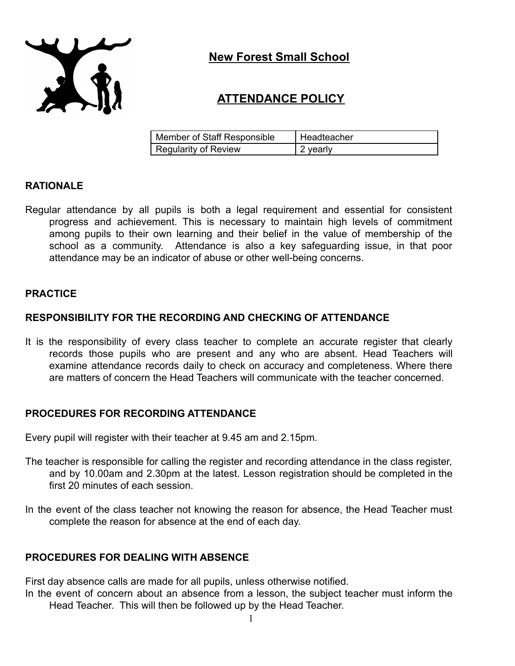

**New Forest Small School**

# **ATTENDANCE POLICY**

| Member of Staff Responsible | Headteacher |
|-----------------------------|-------------|
| Regularity of Review        | 2 yearly    |

### **RATIONALE**

Regular attendance by all pupils is both a legal requirement and essential for consistent progress and achievement. This is necessary to maintain high levels of commitment among pupils to their own learning and their belief in the value of membership of the school as a community. Attendance is also a key safeguarding issue, in that poor attendance may be an indicator of abuse or other well-being concerns.

### **PRACTICE**

### **RESPONSIBILITY FOR THE RECORDING AND CHECKING OF ATTENDANCE**

It is the responsibility of every class teacher to complete an accurate register that clearly records those pupils who are present and any who are absent. Head Teachers will examine attendance records daily to check on accuracy and completeness. Where there are matters of concern the Head Teachers will communicate with the teacher concerned.

### **PROCEDURES FOR RECORDING ATTENDANCE**

Every pupil will register with their teacher at 9.45 am and 2.15pm.

- The teacher is responsible for calling the register and recording attendance in the class register, and by 10.00am and 2.30pm at the latest. Lesson registration should be completed in the first 20 minutes of each session.
- In the event of the class teacher not knowing the reason for absence, the Head Teacher must complete the reason for absence at the end of each day.

# **PROCEDURES FOR DEALING WITH ABSENCE**

First day absence calls are made for all pupils, unless otherwise notified.

In the event of concern about an absence from a lesson, the subject teacher must inform the Head Teacher. This will then be followed up by the Head Teacher.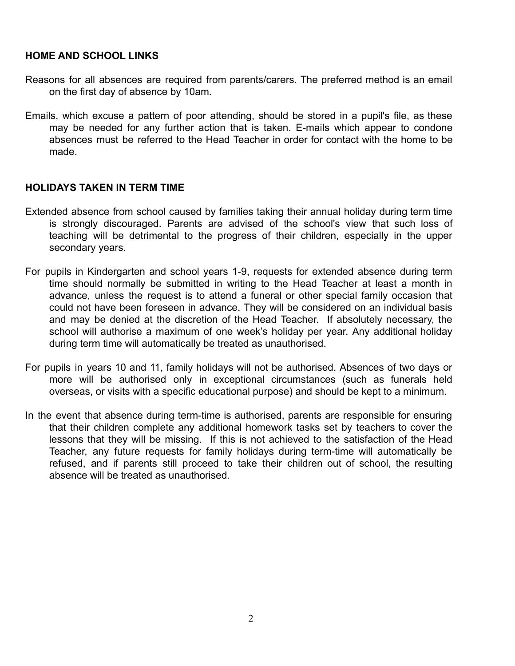### **HOME AND SCHOOL LINKS**

- Reasons for all absences are required from parents/carers. The preferred method is an email on the first day of absence by 10am.
- Emails, which excuse a pattern of poor attending, should be stored in a pupil's file, as these may be needed for any further action that is taken. E-mails which appear to condone absences must be referred to the Head Teacher in order for contact with the home to be made.

### **HOLIDAYS TAKEN IN TERM TIME**

- Extended absence from school caused by families taking their annual holiday during term time is strongly discouraged. Parents are advised of the school's view that such loss of teaching will be detrimental to the progress of their children, especially in the upper secondary years.
- For pupils in Kindergarten and school years 1-9, requests for extended absence during term time should normally be submitted in writing to the Head Teacher at least a month in advance, unless the request is to attend a funeral or other special family occasion that could not have been foreseen in advance. They will be considered on an individual basis and may be denied at the discretion of the Head Teacher. If absolutely necessary, the school will authorise a maximum of one week's holiday per year. Any additional holiday during term time will automatically be treated as unauthorised.
- For pupils in years 10 and 11, family holidays will not be authorised. Absences of two days or more will be authorised only in exceptional circumstances (such as funerals held overseas, or visits with a specific educational purpose) and should be kept to a minimum.
- In the event that absence during term-time is authorised, parents are responsible for ensuring that their children complete any additional homework tasks set by teachers to cover the lessons that they will be missing. If this is not achieved to the satisfaction of the Head Teacher, any future requests for family holidays during term-time will automatically be refused, and if parents still proceed to take their children out of school, the resulting absence will be treated as unauthorised.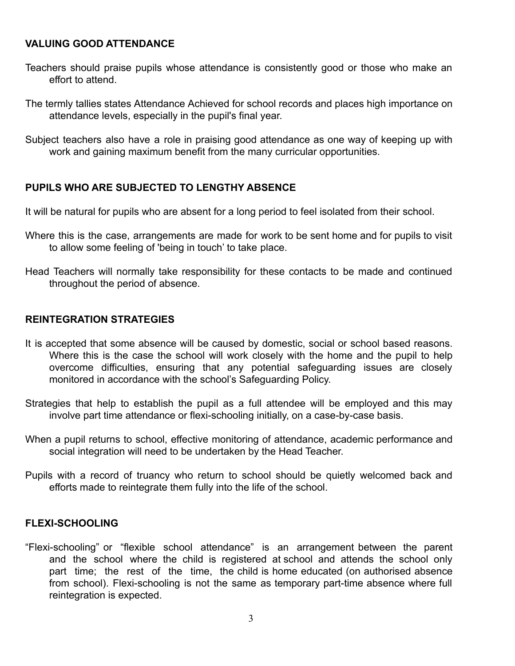### **VALUING GOOD ATTENDANCE**

- Teachers should praise pupils whose attendance is consistently good or those who make an effort to attend.
- The termly tallies states Attendance Achieved for school records and places high importance on attendance levels, especially in the pupil's final year.

Subject teachers also have a role in praising good attendance as one way of keeping up with work and gaining maximum benefit from the many curricular opportunities.

# **PUPILS WHO ARE SUBJECTED TO LENGTHY ABSENCE**

It will be natural for pupils who are absent for a long period to feel isolated from their school.

- Where this is the case, arrangements are made for work to be sent home and for pupils to visit to allow some feeling of 'being in touch' to take place.
- Head Teachers will normally take responsibility for these contacts to be made and continued throughout the period of absence.

# **REINTEGRATION STRATEGIES**

- It is accepted that some absence will be caused by domestic, social or school based reasons. Where this is the case the school will work closely with the home and the pupil to help overcome difficulties, ensuring that any potential safeguarding issues are closely monitored in accordance with the school's Safeguarding Policy.
- Strategies that help to establish the pupil as a full attendee will be employed and this may involve part time attendance or flexi-schooling initially, on a case-by-case basis.
- When a pupil returns to school, effective monitoring of attendance, academic performance and social integration will need to be undertaken by the Head Teacher.
- Pupils with a record of truancy who return to school should be quietly welcomed back and efforts made to reintegrate them fully into the life of the school.

# **FLEXI-SCHOOLING**

"Flexi-schooling" or "flexible school attendance" is an arrangement between the parent and the school where the child is registered at school and attends the school only part time; the rest of the time, the child is home educated (on authorised absence from school). Flexi-schooling is not the same as temporary part-time absence where full reintegration is expected.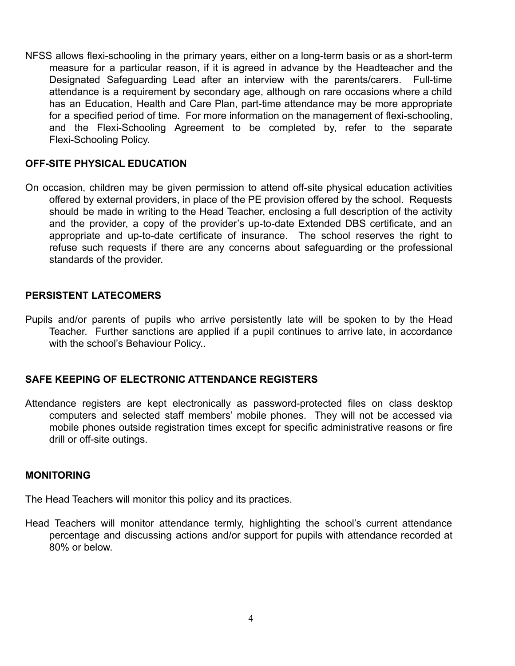NFSS allows flexi-schooling in the primary years, either on a long-term basis or as a short-term measure for a particular reason, if it is agreed in advance by the Headteacher and the Designated Safeguarding Lead after an interview with the parents/carers. Full-time attendance is a requirement by secondary age, although on rare occasions where a child has an Education, Health and Care Plan, part-time attendance may be more appropriate for a specified period of time. For more information on the management of flexi-schooling, and the Flexi-Schooling Agreement to be completed by, refer to the separate Flexi-Schooling Policy.

### **OFF-SITE PHYSICAL EDUCATION**

On occasion, children may be given permission to attend off-site physical education activities offered by external providers, in place of the PE provision offered by the school. Requests should be made in writing to the Head Teacher, enclosing a full description of the activity and the provider, a copy of the provider's up-to-date Extended DBS certificate, and an appropriate and up-to-date certificate of insurance. The school reserves the right to refuse such requests if there are any concerns about safeguarding or the professional standards of the provider.

### **PERSISTENT LATECOMERS**

Pupils and/or parents of pupils who arrive persistently late will be spoken to by the Head Teacher. Further sanctions are applied if a pupil continues to arrive late, in accordance with the school's Behaviour Policy..

# **SAFE KEEPING OF ELECTRONIC ATTENDANCE REGISTERS**

Attendance registers are kept electronically as password-protected files on class desktop computers and selected staff members' mobile phones. They will not be accessed via mobile phones outside registration times except for specific administrative reasons or fire drill or off-site outings.

### **MONITORING**

The Head Teachers will monitor this policy and its practices.

Head Teachers will monitor attendance termly, highlighting the school's current attendance percentage and discussing actions and/or support for pupils with attendance recorded at 80% or below.